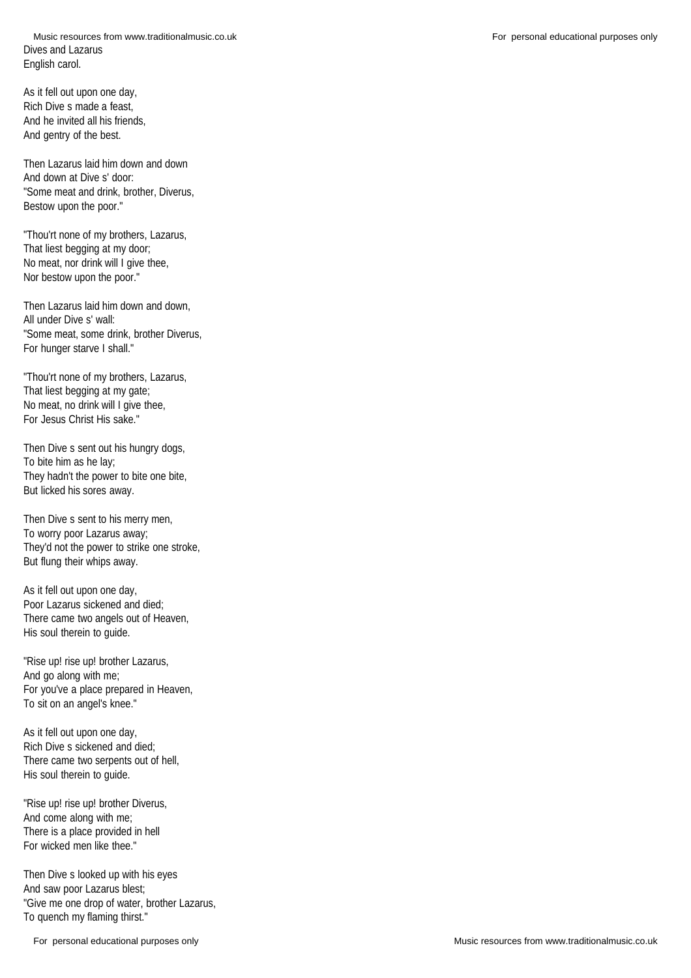As it fell out upon one day, Rich Dive s made a feast, And he invited all his friends, And gentry of the best.

Then Lazarus laid him down and down And down at Dive s' door: "Some meat and drink, brother, Diverus, Bestow upon the poor."

"Thou'rt none of my brothers, Lazarus, That liest begging at my door: No meat, nor drink will I give thee, Nor bestow upon the poor."

Then Lazarus laid him down and down, All under Dive s' wall: "Some meat, some drink, brother Diverus, For hunger starve I shall."

"Thou'rt none of my brothers, Lazarus, That liest begging at my gate; No meat, no drink will I give thee, For Jesus Christ His sake."

Then Dive s sent out his hungry dogs, To bite him as he lay; They hadn't the power to bite one bite, But licked his sores away.

Then Dive s sent to his merry men, To worry poor Lazarus away; They'd not the power to strike one stroke, But flung their whips away.

As it fell out upon one day, Poor Lazarus sickened and died; There came two angels out of Heaven, His soul therein to guide.

"Rise up! rise up! brother Lazarus, And go along with me; For you've a place prepared in Heaven, To sit on an angel's knee."

As it fell out upon one day, Rich Dive s sickened and died; There came two serpents out of hell, His soul therein to guide.

"Rise up! rise up! brother Diverus, And come along with me; There is a place provided in hell For wicked men like thee."

Then Dive s looked up with his eyes And saw poor Lazarus blest; "Give me one drop of water, brother Lazarus, To quench my flaming thirst."